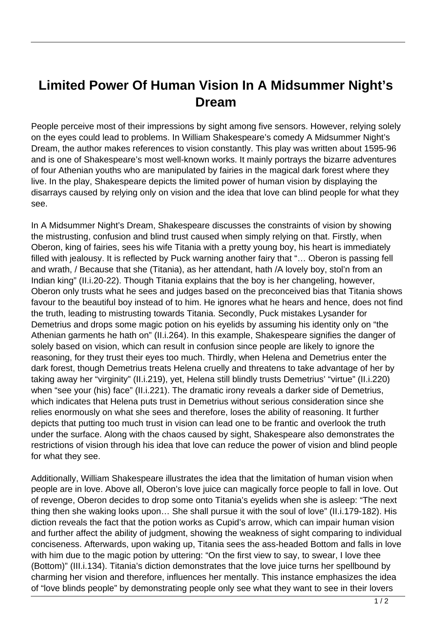## **Limited Power Of Human Vision In A Midsummer Night's Dream**

People perceive most of their impressions by sight among five sensors. However, relying solely on the eyes could lead to problems. In William Shakespeare's comedy A Midsummer Night's Dream, the author makes references to vision constantly. This play was written about 1595-96 and is one of Shakespeare's most well-known works. It mainly portrays the bizarre adventures of four Athenian youths who are manipulated by fairies in the magical dark forest where they live. In the play, Shakespeare depicts the limited power of human vision by displaying the disarrays caused by relying only on vision and the idea that love can blind people for what they see.

In A Midsummer Night's Dream, Shakespeare discusses the constraints of vision by showing the mistrusting, confusion and blind trust caused when simply relying on that. Firstly, when Oberon, king of fairies, sees his wife Titania with a pretty young boy, his heart is immediately filled with jealousy. It is reflected by Puck warning another fairy that "… Oberon is passing fell and wrath, / Because that she (Titania), as her attendant, hath /A lovely boy, stol'n from an Indian king" (II.i.20-22). Though Titania explains that the boy is her changeling, however, Oberon only trusts what he sees and judges based on the preconceived bias that Titania shows favour to the beautiful boy instead of to him. He ignores what he hears and hence, does not find the truth, leading to mistrusting towards Titania. Secondly, Puck mistakes Lysander for Demetrius and drops some magic potion on his eyelids by assuming his identity only on "the Athenian garments he hath on" (II.i.264). In this example, Shakespeare signifies the danger of solely based on vision, which can result in confusion since people are likely to ignore the reasoning, for they trust their eyes too much. Thirdly, when Helena and Demetrius enter the dark forest, though Demetrius treats Helena cruelly and threatens to take advantage of her by taking away her "virginity" (II.i.219), yet, Helena still blindly trusts Demetrius' "virtue" (II.i.220) when "see your (his) face" (II.i.221). The dramatic irony reveals a darker side of Demetrius, which indicates that Helena puts trust in Demetrius without serious consideration since she relies enormously on what she sees and therefore, loses the ability of reasoning. It further depicts that putting too much trust in vision can lead one to be frantic and overlook the truth under the surface. Along with the chaos caused by sight, Shakespeare also demonstrates the restrictions of vision through his idea that love can reduce the power of vision and blind people for what they see.

Additionally, William Shakespeare illustrates the idea that the limitation of human vision when people are in love. Above all, Oberon's love juice can magically force people to fall in love. Out of revenge, Oberon decides to drop some onto Titania's eyelids when she is asleep: "The next thing then she waking looks upon… She shall pursue it with the soul of love" (II.i.179-182). His diction reveals the fact that the potion works as Cupid's arrow, which can impair human vision and further affect the ability of judgment, showing the weakness of sight comparing to individual conciseness. Afterwards, upon waking up, Titania sees the ass-headed Bottom and falls in love with him due to the magic potion by uttering: "On the first view to say, to swear, I love thee (Bottom)" (III.i.134). Titania's diction demonstrates that the love juice turns her spellbound by charming her vision and therefore, influences her mentally. This instance emphasizes the idea of "love blinds people" by demonstrating people only see what they want to see in their lovers